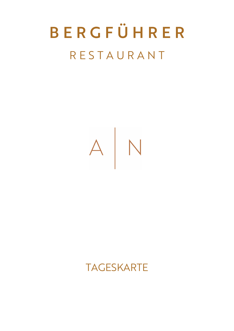# B E R G F Ü H R E R R E S T A U R A N T



### TAGESKARTE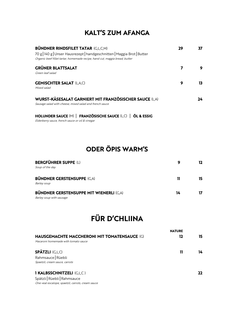### KALT'S ZUM AFANGA

| <b>BÜNDNER RINDSFILET TATAR (G,L,C,M)</b>                                   | 29 |     |
|-----------------------------------------------------------------------------|----|-----|
| 70 g   140 g   Unser Hausrezept   handgeschnitten   Maggia Brot   Butter    |    |     |
| Organic beef fillet tartar, homemade recipe, hand cut, maggia bread, butter |    |     |
| <b>GRÜNER BLATTSALAT</b>                                                    |    | 9   |
| Green leaf salad                                                            |    |     |
| <b>GEMISCHTER SALAT (L,A,C)</b>                                             | 9  | 13. |
| Mixed salad                                                                 |    |     |
| WURST-KÄSESALAT GARNIERT MIT FRANZÖSISCHER SAUCE (L,A)                      |    | 24  |
| Sausage salad with cheese, mixed salad and french sauce                     |    |     |
| HOLUNDER SAUCE (M)   FRANZÖSISCHE SAUCE (L,C)   ÖL & ESSIG                  |    |     |
|                                                                             |    |     |

Elderberry sauce, french sauce or oil & vinegar

### ODER ÖPIS WARM'S

| <b>BERGFÜHRER SUPPE (L)</b><br>Soup of the day                             | 9  | 12. |
|----------------------------------------------------------------------------|----|-----|
| <b>BÜNDNER GERSTENSUPPE (G,A)</b><br>Barley soup                           | 11 | 15  |
| <b>BÜNDNER GERSTENSUPPE MIT WIENERLI (C,A)</b><br>Barley soup with sausage | 14 |     |

### FÜR D'CHLIINA

|                                                     | <b>NATURE</b> |    |
|-----------------------------------------------------|---------------|----|
| <b>HAUSGEMACHTE MACCHERONI MIT TOMATENSAUCE (G)</b> | 12            | 15 |
| Macaroni homemade with tomato sauce                 |               |    |
| <b>SPÄTZLI</b> (G,L,C)                              | Н             | 14 |
| Rahmsauce Rüebli                                    |               |    |
| Spaetzli, cream sauce, carrots                      |               |    |
| <b>I KALBSSCHNITZELI (G,L,C)</b>                    |               |    |
| Spätzli Rüebli Rahmsauce                            |               |    |
| One veal escalope, spaetzli, carrots, cream sauce   |               |    |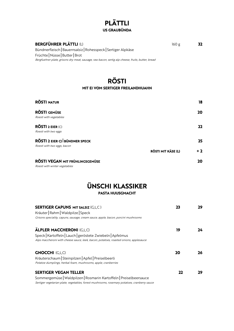## PLÄTTLI<br>US GRAUBÜNDA

#### **BERGFÜHRER PLÄTTLI** (L) 160 g 32

Bündnerfleisch | Bauernsalsiz | Rohesspeck | Sertiger Alpkäse Früchte | Nüsse | Butter | Brot Bergfuehrer plate, grisons dry meat, sausage, raw bacon, sertig alp cheese, fruits, butter, bread

## RÖSTI<br>MIT EI VOM SERTIGER FREILANDHUAHN

| <b>RÖSTI NATUR</b>                   |                    | 18        |
|--------------------------------------|--------------------|-----------|
| RÖSTI GEMÜSE                         |                    | <b>20</b> |
| Roesti with vegetables               |                    |           |
| <b>RÖSTI 2 EIER (C)</b>              |                    | $22 \,$   |
| Roesti with two eggs                 |                    |           |
| <b>RÖSTI 2 EIER C) BÜNDNER SPECK</b> |                    | 25        |
| Roesti with two eggs, bacon          |                    |           |
|                                      | RÖSTI MIT KÄSE (L) | $+2$      |
| RÖSTI VEGAN MIT FRÜHLINGSGEMÜSE      |                    | 20        |
| Roesti with winter vegetables        |                    |           |

### ÜNSCHI KLASSIKER

#### PASTA HUUSGMACHT

| <b>SERTIGER CAPUNS MIT SALSIZ (G,L,C)</b><br>Kräuter   Rahm   Waldpilze   Speck<br>Grisons speciality, capuns, sausage, cream sauce, apple, bacon, porcini mushrooms | 23 | 29 |
|----------------------------------------------------------------------------------------------------------------------------------------------------------------------|----|----|
| <b>ÄLPLER MACCHERONI (G,L,C)</b>                                                                                                                                     | 19 | 24 |
| Speck   Kartoffeln   Lauch   geröstete Zwiebeln   Apfelmus                                                                                                           |    |    |
| Alps maccheroni with cheese sauce, leek, bacon, potatoes, roasted onions, applesauce                                                                                 |    |    |
| <b>GNOCCHI (G,L,C)</b>                                                                                                                                               | 20 | 26 |
| Kräuterschaum   Steinpilzen   Apfel   Preiselbeerli                                                                                                                  |    |    |
| Potatoe dumplings, herbal foam, mushrooms, apple, cranberries                                                                                                        |    |    |
| <b>SERTIGER VEGAN TELLER</b>                                                                                                                                         | 22 |    |
| Sommergemüse   Waldpilzen   Rosmarin Kartoffeln   Preiselbeersauce                                                                                                   |    |    |
|                                                                                                                                                                      |    |    |

Sertiger vegetarian plate, vegetables, forest mushrooms, rosemary potatoes, cranberry sauce